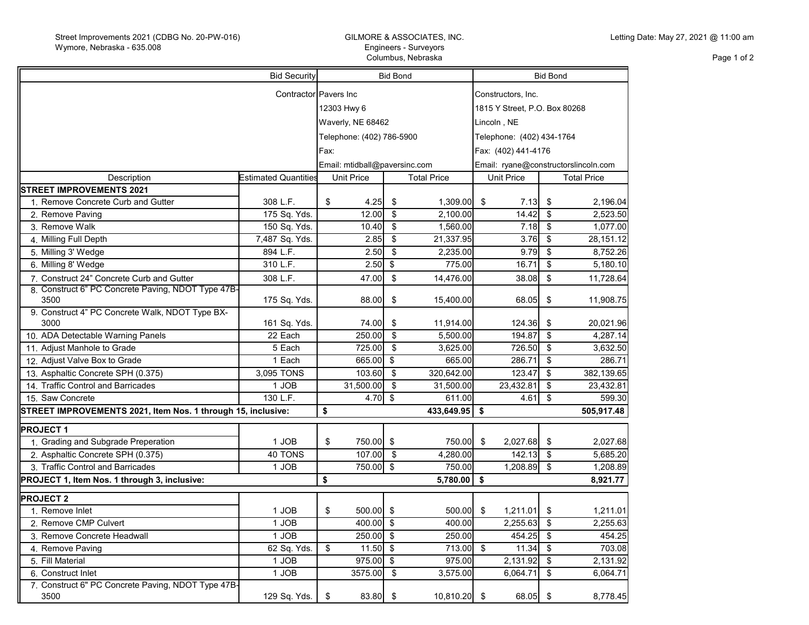## GILMORE & ASSOCIATES, INC. Engineers - Surveyors Columbus, Nebraska

Page 1 of 2

| <b>Bid Security</b>                                          |                             |                               | <b>Bid Bond</b>           |                           |                    |                                      | <b>Bid Bond</b>               |                          |                    |  |
|--------------------------------------------------------------|-----------------------------|-------------------------------|---------------------------|---------------------------|--------------------|--------------------------------------|-------------------------------|--------------------------|--------------------|--|
| Contractor Pavers Inc                                        |                             |                               |                           |                           |                    |                                      | Constructors, Inc.            |                          |                    |  |
|                                                              |                             |                               | 12303 Hwy 6               |                           |                    |                                      | 1815 Y Street, P.O. Box 80268 |                          |                    |  |
|                                                              |                             |                               | Waverly, NE 68462         |                           |                    |                                      | Lincoln , NE                  |                          |                    |  |
|                                                              |                             |                               |                           |                           |                    |                                      |                               |                          |                    |  |
|                                                              |                             |                               | Telephone: (402) 786-5900 |                           |                    |                                      | Telephone: (402) 434-1764     |                          |                    |  |
|                                                              |                             |                               | Fax:                      |                           |                    |                                      | Fax: (402) 441-4176           |                          |                    |  |
|                                                              |                             | Email: mtidball@paversinc.com |                           |                           |                    | Email: ryane@constructorslincoln.com |                               |                          |                    |  |
| Description                                                  | <b>Estimated Quantities</b> |                               | <b>Unit Price</b>         |                           | <b>Total Price</b> |                                      | <b>Unit Price</b>             |                          | <b>Total Price</b> |  |
| <b>STREET IMPROVEMENTS 2021</b>                              |                             |                               |                           |                           |                    |                                      |                               |                          |                    |  |
| 1. Remove Concrete Curb and Gutter                           | 308 L.F.                    | \$                            | 4.25                      | \$                        | 1,309.00           | -\$                                  | 7.13                          | \$                       | 2,196.04           |  |
| 2. Remove Paving                                             | 175 Sq. Yds.                |                               | 12.00                     | \$                        | 2,100.00           |                                      | 14.42                         | \$                       | 2,523.50           |  |
| 3. Remove Walk                                               | 150 Sq. Yds.                |                               | 10.40                     | $\boldsymbol{\mathsf{S}}$ | 1,560.00           |                                      | 7.18                          | \$                       | 1,077.00           |  |
| 4. Milling Full Depth                                        | 7,487 Sq. Yds.              |                               | 2.85                      | \$                        | 21,337.95          |                                      | 3.76                          | \$                       | 28,151.12          |  |
| 5. Milling 3' Wedge                                          | 894 L.F.                    |                               | 2.50                      | $\overline{\mathbf{s}}$   | 2,235.00           |                                      | 9.79                          | $\overline{\mathcal{S}}$ | 8,752.26           |  |
| 6. Milling 8' Wedge                                          | 310 L.F.                    |                               | 2.50                      | $\sqrt[6]{\frac{1}{2}}$   | 775.00             |                                      | 16.71                         | $\frac{1}{2}$            | 5,180.10           |  |
| 7. Construct 24" Concrete Curb and Gutter                    | 308 L.F.                    |                               | 47.00                     | $\sqrt[6]{\frac{1}{2}}$   | 14,476.00          |                                      | 38.08                         | $\sqrt[6]{\frac{1}{2}}$  | 11,728.64          |  |
| 8. Construct 6" PC Concrete Paving, NDOT Type 47B-<br>3500   | 175 Sq. Yds.                |                               | 88.00                     | \$                        | 15,400.00          |                                      | 68.05                         | \$                       | 11,908.75          |  |
| 9. Construct 4" PC Concrete Walk, NDOT Type BX-<br>3000      | 161 Sq. Yds.                |                               | 74.00                     | \$                        | 11,914.00          |                                      | 124.36                        | \$                       | 20,021.96          |  |
| 10. ADA Detectable Warning Panels                            | 22 Each                     |                               | 250.00                    | $\boldsymbol{\mathsf{s}}$ | 5,500.00           |                                      | 194.87                        | \$                       | 4,287.14           |  |
| 11. Adjust Manhole to Grade                                  | 5 Each                      |                               | 725.00                    | \$                        | 3,625.00           |                                      | 726.50                        | $\sqrt{2}$               | 3,632.50           |  |
| 12. Adjust Valve Box to Grade                                | 1 Each                      |                               | 665.00                    | \$                        | 665.00             |                                      | 286.71                        | \$                       | 286.71             |  |
| 13. Asphaltic Concrete SPH (0.375)                           | 3,095 TONS                  |                               | 103.60                    | $\sqrt{2}$                | 320,642.00         |                                      | 123.47                        | \$                       | 382,139.65         |  |
| 14. Traffic Control and Barricades                           | 1 JOB                       |                               | 31,500.00                 | \$                        | 31,500.00          |                                      | 23,432.81                     | \$                       | 23,432.81          |  |
| 15. Saw Concrete                                             | 130 L.F.                    |                               | 4.70                      | $\sqrt[6]{\frac{1}{2}}$   | 611.00             |                                      | 4.61                          | \$                       | 599.30             |  |
| STREET IMPROVEMENTS 2021, Item Nos. 1 through 15, inclusive: |                             | \$                            |                           |                           | 433,649.95         | \$                                   |                               |                          | 505,917.48         |  |
| <b>PROJECT1</b>                                              |                             |                               |                           |                           |                    |                                      |                               |                          |                    |  |
| 1. Grading and Subgrade Preperation                          | 1 JOB                       | \$                            | 750.00 \$                 |                           | 750.00             | -\$                                  | 2,027.68                      | \$                       | 2,027.68           |  |
| 2. Asphaltic Concrete SPH (0.375)                            | 40 TONS                     |                               | 107.00                    | - \$                      | 4,280.00           |                                      | 142.13                        | \$                       | 5,685.20           |  |
| 3. Traffic Control and Barricades                            | 1 JOB                       |                               | 750.00                    | - \$                      | 750.00             |                                      | 1,208.89                      | \$                       | 1,208.89           |  |
| PROJECT 1, Item Nos. 1 through 3, inclusive:                 |                             | \$                            |                           |                           | 5,780.00           | \$                                   |                               |                          | 8,921.77           |  |
| <b>PROJECT 2</b>                                             |                             |                               |                           |                           |                    |                                      |                               |                          |                    |  |
| 1. Remove Inlet                                              | 1 JOB                       | \$                            | 500.00 \$                 |                           | 500.00             | \$                                   | 1,211.01                      | \$                       | 1,211.01           |  |
| 2. Remove CMP Culvert                                        | 1 JOB                       |                               | 400.00 \$                 |                           | 400.00             |                                      | 2,255.63                      | $\sqrt[6]{2}$            | 2,255.63           |  |
| 3. Remove Concrete Headwall                                  | 1 JOB                       |                               | 250.00                    | \$                        | 250.00             |                                      | 454.25                        | \$                       | 454.25             |  |
| 4. Remove Paving                                             | 62 Sq. Yds.                 | \$                            | $11.50$ \$                |                           | $713.00$ \$        |                                      | 11.34                         | $\mathfrak{S}$           | 703.08             |  |
| 5. Fill Material                                             | 1 JOB                       |                               | 975.00                    | \$                        | 975.00             |                                      | 2,131.92                      | $\sqrt[6]{\frac{1}{2}}$  | 2,131.92           |  |
| 6. Construct Inlet                                           | 1 JOB                       |                               | 3575.00                   | $\sqrt[6]{\frac{1}{2}}$   | 3,575.00           |                                      | 6,064.71                      | \$                       | 6,064.71           |  |
| 7. Construct 6" PC Concrete Paving, NDOT Type 47B-           |                             |                               |                           |                           |                    |                                      |                               |                          |                    |  |
| 3500                                                         | 129 Sq. Yds.                | \$                            | 83.80 \$                  |                           | 10,810.20 \$       |                                      | 68.05                         | -\$                      | 8,778.45           |  |